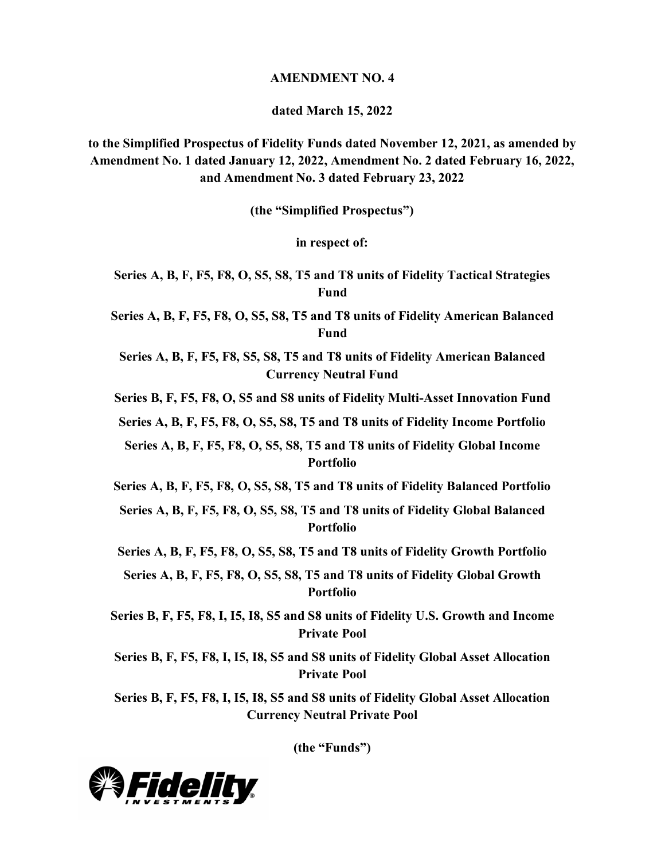#### **AMENDMENT NO. 4**

**dated March 15, 2022**

**to the Simplified Prospectus of Fidelity Funds dated November 12, 2021, as amended by Amendment No. 1 dated January 12, 2022, Amendment No. 2 dated February 16, 2022, and Amendment No. 3 dated February 23, 2022**

**(the "Simplified Prospectus")**

**in respect of:**

**Series A, B, F, F5, F8, O, S5, S8, T5 and T8 units of Fidelity Tactical Strategies Fund**

**Series A, B, F, F5, F8, O, S5, S8, T5 and T8 units of Fidelity American Balanced Fund**

**Series A, B, F, F5, F8, S5, S8, T5 and T8 units of Fidelity American Balanced Currency Neutral Fund**

**Series B, F, F5, F8, O, S5 and S8 units of Fidelity Multi-Asset Innovation Fund**

**Series A, B, F, F5, F8, O, S5, S8, T5 and T8 units of Fidelity Income Portfolio**

**Series A, B, F, F5, F8, O, S5, S8, T5 and T8 units of Fidelity Global Income Portfolio**

**Series A, B, F, F5, F8, O, S5, S8, T5 and T8 units of Fidelity Balanced Portfolio**

**Series A, B, F, F5, F8, O, S5, S8, T5 and T8 units of Fidelity Global Balanced Portfolio**

**Series A, B, F, F5, F8, O, S5, S8, T5 and T8 units of Fidelity Growth Portfolio**

**Series A, B, F, F5, F8, O, S5, S8, T5 and T8 units of Fidelity Global Growth Portfolio**

**Series B, F, F5, F8, I, I5, I8, S5 and S8 units of Fidelity U.S. Growth and Income Private Pool**

**Series B, F, F5, F8, I, I5, I8, S5 and S8 units of Fidelity Global Asset Allocation Private Pool**

**Series B, F, F5, F8, I, I5, I8, S5 and S8 units of Fidelity Global Asset Allocation Currency Neutral Private Pool**

**(the "Funds")**

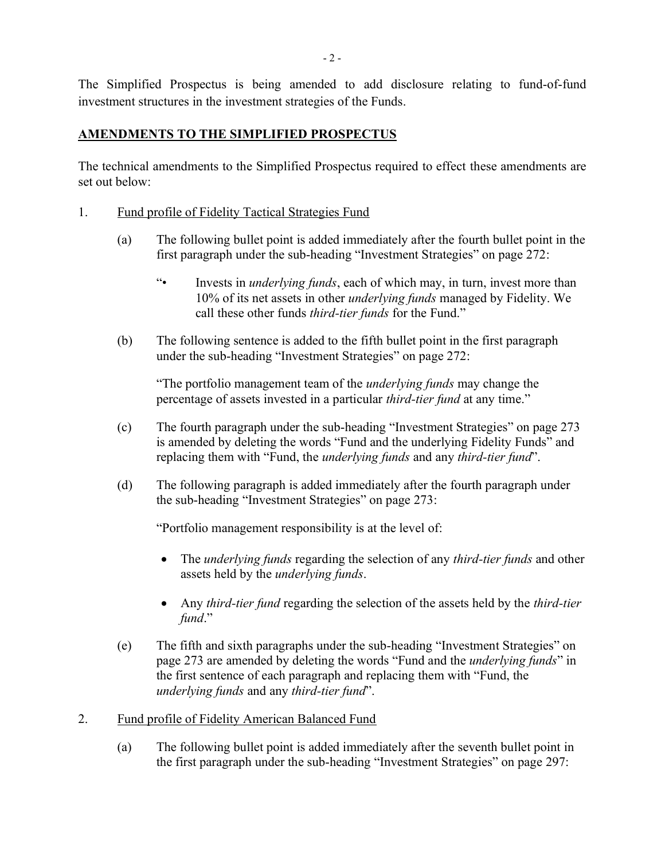The Simplified Prospectus is being amended to add disclosure relating to fund-of-fund investment structures in the investment strategies of the Funds.

# **AMENDMENTS TO THE SIMPLIFIED PROSPECTUS**

The technical amendments to the Simplified Prospectus required to effect these amendments are set out below:

- 1. Fund profile of Fidelity Tactical Strategies Fund
	- (a) The following bullet point is added immediately after the fourth bullet point in the first paragraph under the sub-heading "Investment Strategies" on page 272:
		- "• Invests in *underlying funds*, each of which may, in turn, invest more than 10% of its net assets in other *underlying funds* managed by Fidelity. We call these other funds *third-tier funds* for the Fund."
	- (b) The following sentence is added to the fifth bullet point in the first paragraph under the sub-heading "Investment Strategies" on page 272:

"The portfolio management team of the *underlying funds* may change the percentage of assets invested in a particular *third-tier fund* at any time."

- (c) The fourth paragraph under the sub-heading "Investment Strategies" on page 273 is amended by deleting the words "Fund and the underlying Fidelity Funds" and replacing them with "Fund, the *underlying funds* and any *third-tier fund*".
- (d) The following paragraph is added immediately after the fourth paragraph under the sub-heading "Investment Strategies" on page 273:

- The *underlying funds* regarding the selection of any *third-tier funds* and other assets held by the *underlying funds*.
- Any *third-tier fund* regarding the selection of the assets held by the *third-tier fund*."
- (e) The fifth and sixth paragraphs under the sub-heading "Investment Strategies" on page 273 are amended by deleting the words "Fund and the *underlying funds*" in the first sentence of each paragraph and replacing them with "Fund, the *underlying funds* and any *third-tier fund*".
- 2. Fund profile of Fidelity American Balanced Fund
	- (a) The following bullet point is added immediately after the seventh bullet point in the first paragraph under the sub-heading "Investment Strategies" on page 297: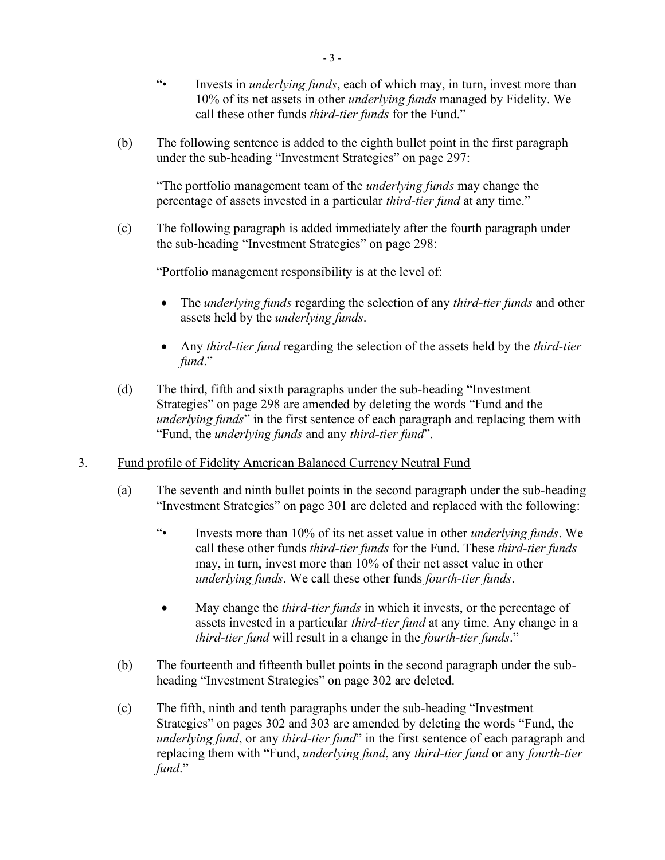- "• Invests in *underlying funds*, each of which may, in turn, invest more than 10% of its net assets in other *underlying funds* managed by Fidelity. We call these other funds *third-tier funds* for the Fund."
- (b) The following sentence is added to the eighth bullet point in the first paragraph under the sub-heading "Investment Strategies" on page 297:

(c) The following paragraph is added immediately after the fourth paragraph under the sub-heading "Investment Strategies" on page 298:

- The *underlying funds* regarding the selection of any *third-tier funds* and other assets held by the *underlying funds*.
- Any *third-tier fund* regarding the selection of the assets held by the *third-tier fund*."
- (d) The third, fifth and sixth paragraphs under the sub-heading "Investment Strategies" on page 298 are amended by deleting the words "Fund and the *underlying funds*" in the first sentence of each paragraph and replacing them with "Fund, the *underlying funds* and any *third-tier fund*".
- 3. Fund profile of Fidelity American Balanced Currency Neutral Fund
	- (a) The seventh and ninth bullet points in the second paragraph under the sub-heading "Investment Strategies" on page 301 are deleted and replaced with the following:
		- "• Invests more than 10% of its net asset value in other *underlying funds*. We call these other funds *third-tier funds* for the Fund. These *third-tier funds* may, in turn, invest more than 10% of their net asset value in other *underlying funds*. We call these other funds *fourth-tier funds*.
		- May change the *third-tier funds* in which it invests, or the percentage of assets invested in a particular *third-tier fund* at any time. Any change in a *third-tier fund* will result in a change in the *fourth-tier funds*."
	- (b) The fourteenth and fifteenth bullet points in the second paragraph under the subheading "Investment Strategies" on page 302 are deleted.
	- (c) The fifth, ninth and tenth paragraphs under the sub-heading "Investment Strategies" on pages 302 and 303 are amended by deleting the words "Fund, the *underlying fund*, or any *third-tier fund*" in the first sentence of each paragraph and replacing them with "Fund, *underlying fund*, any *third-tier fund* or any *fourth-tier fund*."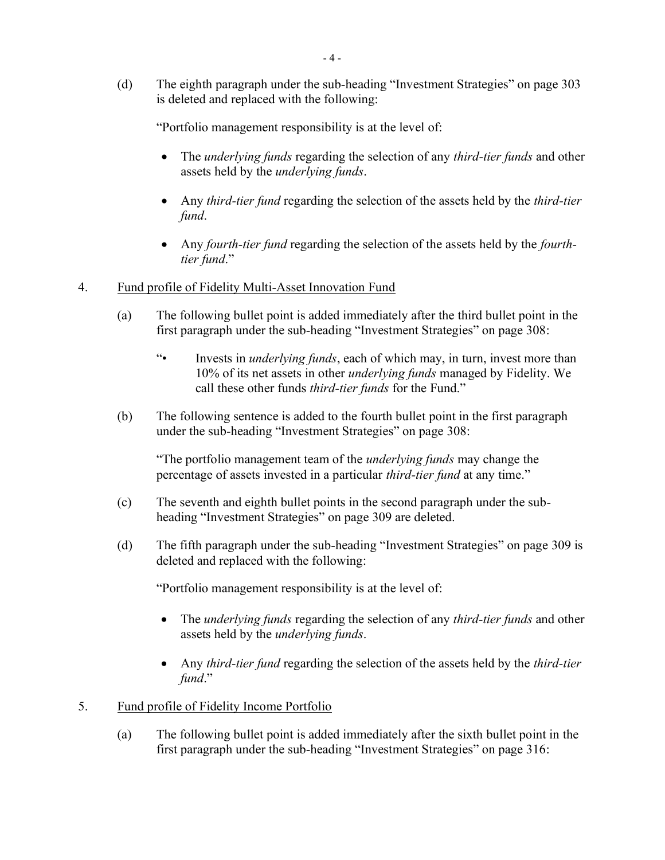(d) The eighth paragraph under the sub-heading "Investment Strategies" on page 303 is deleted and replaced with the following:

"Portfolio management responsibility is at the level of:

- The *underlying funds* regarding the selection of any *third-tier funds* and other assets held by the *underlying funds*.
- Any *third-tier fund* regarding the selection of the assets held by the *third-tier fund*.
- Any *fourth-tier fund* regarding the selection of the assets held by the *fourthtier fund*."
- 4. Fund profile of Fidelity Multi-Asset Innovation Fund
	- (a) The following bullet point is added immediately after the third bullet point in the first paragraph under the sub-heading "Investment Strategies" on page 308:
		- "• Invests in *underlying funds*, each of which may, in turn, invest more than 10% of its net assets in other *underlying funds* managed by Fidelity. We call these other funds *third-tier funds* for the Fund."
	- (b) The following sentence is added to the fourth bullet point in the first paragraph under the sub-heading "Investment Strategies" on page 308:

"The portfolio management team of the *underlying funds* may change the percentage of assets invested in a particular *third-tier fund* at any time."

- (c) The seventh and eighth bullet points in the second paragraph under the subheading "Investment Strategies" on page 309 are deleted.
- (d) The fifth paragraph under the sub-heading "Investment Strategies" on page 309 is deleted and replaced with the following:

- The *underlying funds* regarding the selection of any *third-tier funds* and other assets held by the *underlying funds*.
- Any *third-tier fund* regarding the selection of the assets held by the *third-tier fund*."
- 5. Fund profile of Fidelity Income Portfolio
	- (a) The following bullet point is added immediately after the sixth bullet point in the first paragraph under the sub-heading "Investment Strategies" on page 316: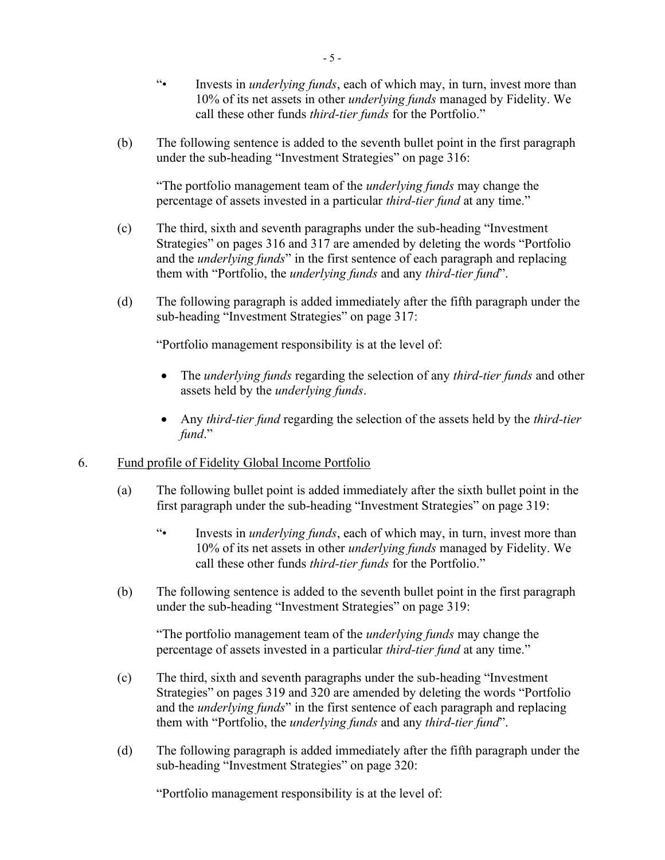- "• Invests in *underlying funds*, each of which may, in turn, invest more than 10% of its net assets in other *underlying funds* managed by Fidelity. We call these other funds *third-tier funds* for the Portfolio."
- (b) The following sentence is added to the seventh bullet point in the first paragraph under the sub-heading "Investment Strategies" on page 316:

- (c) The third, sixth and seventh paragraphs under the sub-heading "Investment Strategies" on pages 316 and 317 are amended by deleting the words "Portfolio and the *underlying funds*" in the first sentence of each paragraph and replacing them with "Portfolio, the *underlying funds* and any *third-tier fund*".
- (d) The following paragraph is added immediately after the fifth paragraph under the sub-heading "Investment Strategies" on page 317:

"Portfolio management responsibility is at the level of:

- The *underlying funds* regarding the selection of any *third-tier funds* and other assets held by the *underlying funds*.
- Any *third-tier fund* regarding the selection of the assets held by the *third-tier fund*."

## 6. Fund profile of Fidelity Global Income Portfolio

- (a) The following bullet point is added immediately after the sixth bullet point in the first paragraph under the sub-heading "Investment Strategies" on page 319:
	- "• Invests in *underlying funds*, each of which may, in turn, invest more than 10% of its net assets in other *underlying funds* managed by Fidelity. We call these other funds *third-tier funds* for the Portfolio."
- (b) The following sentence is added to the seventh bullet point in the first paragraph under the sub-heading "Investment Strategies" on page 319:

"The portfolio management team of the *underlying funds* may change the percentage of assets invested in a particular *third-tier fund* at any time."

- (c) The third, sixth and seventh paragraphs under the sub-heading "Investment Strategies" on pages 319 and 320 are amended by deleting the words "Portfolio and the *underlying funds*" in the first sentence of each paragraph and replacing them with "Portfolio, the *underlying funds* and any *third-tier fund*".
- (d) The following paragraph is added immediately after the fifth paragraph under the sub-heading "Investment Strategies" on page 320: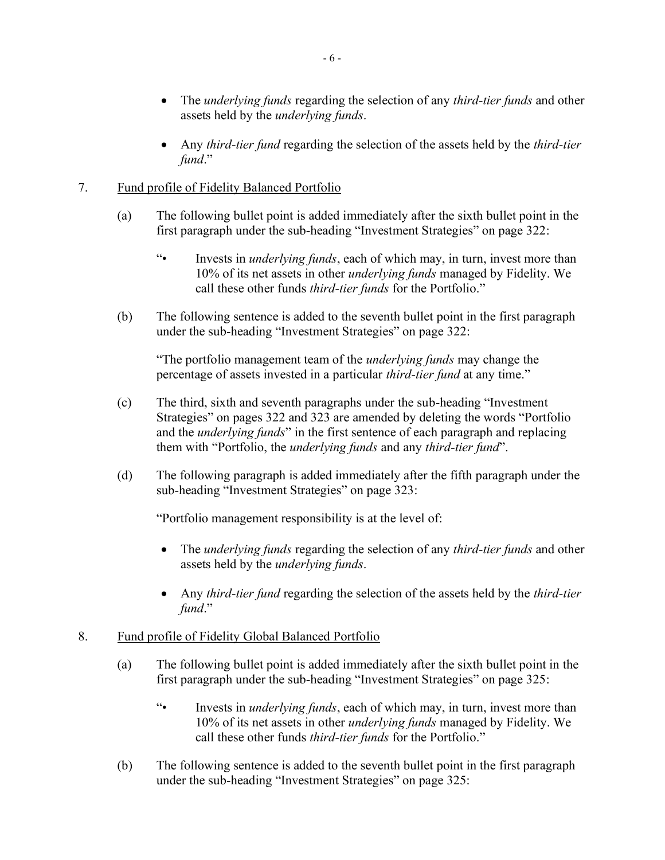- The *underlying funds* regarding the selection of any *third-tier funds* and other assets held by the *underlying funds*.
- Any *third-tier fund* regarding the selection of the assets held by the *third-tier fund*."

# 7. Fund profile of Fidelity Balanced Portfolio

- (a) The following bullet point is added immediately after the sixth bullet point in the first paragraph under the sub-heading "Investment Strategies" on page 322:
	- "• Invests in *underlying funds*, each of which may, in turn, invest more than 10% of its net assets in other *underlying funds* managed by Fidelity. We call these other funds *third-tier funds* for the Portfolio."
- (b) The following sentence is added to the seventh bullet point in the first paragraph under the sub-heading "Investment Strategies" on page 322:

"The portfolio management team of the *underlying funds* may change the percentage of assets invested in a particular *third-tier fund* at any time."

- (c) The third, sixth and seventh paragraphs under the sub-heading "Investment Strategies" on pages 322 and 323 are amended by deleting the words "Portfolio and the *underlying funds*" in the first sentence of each paragraph and replacing them with "Portfolio, the *underlying funds* and any *third-tier fund*".
- (d) The following paragraph is added immediately after the fifth paragraph under the sub-heading "Investment Strategies" on page 323:

"Portfolio management responsibility is at the level of:

- The *underlying funds* regarding the selection of any *third-tier funds* and other assets held by the *underlying funds*.
- Any *third-tier fund* regarding the selection of the assets held by the *third-tier fund*."

## 8. Fund profile of Fidelity Global Balanced Portfolio

- (a) The following bullet point is added immediately after the sixth bullet point in the first paragraph under the sub-heading "Investment Strategies" on page 325:
	- "• Invests in *underlying funds*, each of which may, in turn, invest more than 10% of its net assets in other *underlying funds* managed by Fidelity. We call these other funds *third-tier funds* for the Portfolio."
- (b) The following sentence is added to the seventh bullet point in the first paragraph under the sub-heading "Investment Strategies" on page 325: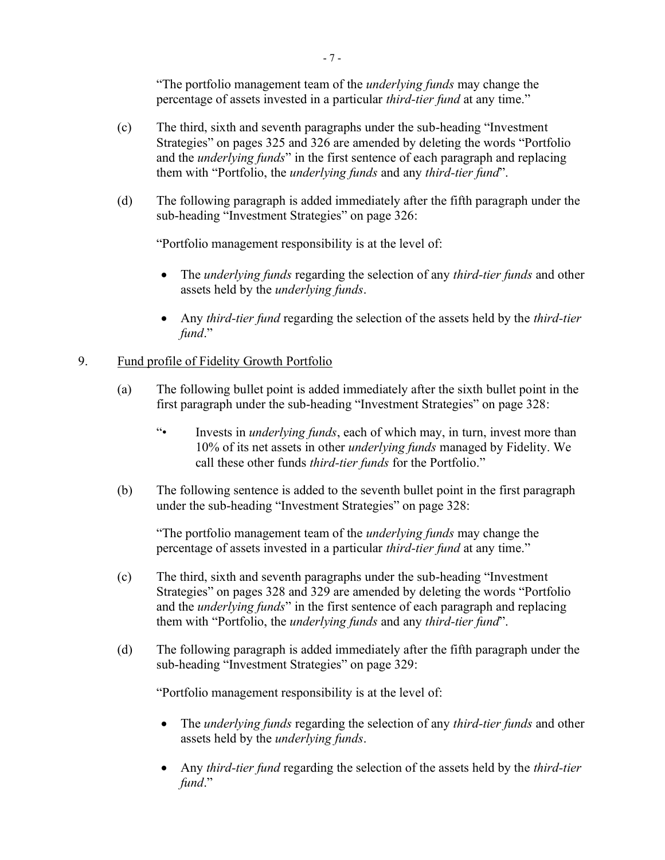- (c) The third, sixth and seventh paragraphs under the sub-heading "Investment Strategies" on pages 325 and 326 are amended by deleting the words "Portfolio and the *underlying funds*" in the first sentence of each paragraph and replacing them with "Portfolio, the *underlying funds* and any *third-tier fund*".
- (d) The following paragraph is added immediately after the fifth paragraph under the sub-heading "Investment Strategies" on page 326:

"Portfolio management responsibility is at the level of:

- The *underlying funds* regarding the selection of any *third-tier funds* and other assets held by the *underlying funds*.
- Any *third-tier fund* regarding the selection of the assets held by the *third-tier fund*."

# 9. Fund profile of Fidelity Growth Portfolio

- (a) The following bullet point is added immediately after the sixth bullet point in the first paragraph under the sub-heading "Investment Strategies" on page 328:
	- "• Invests in *underlying funds*, each of which may, in turn, invest more than 10% of its net assets in other *underlying funds* managed by Fidelity. We call these other funds *third-tier funds* for the Portfolio."
- (b) The following sentence is added to the seventh bullet point in the first paragraph under the sub-heading "Investment Strategies" on page 328:

"The portfolio management team of the *underlying funds* may change the percentage of assets invested in a particular *third-tier fund* at any time."

- (c) The third, sixth and seventh paragraphs under the sub-heading "Investment Strategies" on pages 328 and 329 are amended by deleting the words "Portfolio and the *underlying funds*" in the first sentence of each paragraph and replacing them with "Portfolio, the *underlying funds* and any *third-tier fund*".
- (d) The following paragraph is added immediately after the fifth paragraph under the sub-heading "Investment Strategies" on page 329:

- The *underlying funds* regarding the selection of any *third-tier funds* and other assets held by the *underlying funds*.
- Any *third-tier fund* regarding the selection of the assets held by the *third-tier fund*."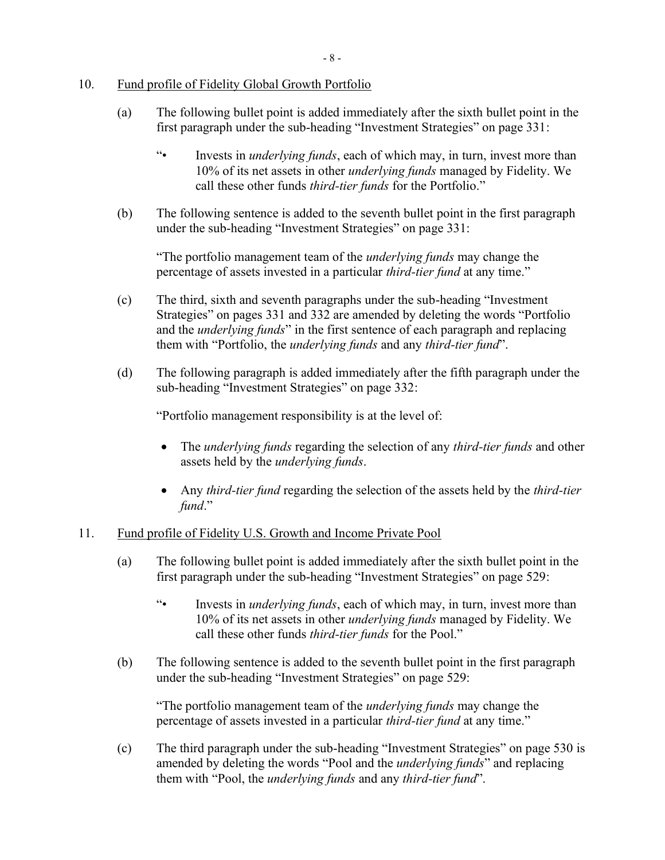## 10. Fund profile of Fidelity Global Growth Portfolio

- (a) The following bullet point is added immediately after the sixth bullet point in the first paragraph under the sub-heading "Investment Strategies" on page 331:
	- "• Invests in *underlying funds*, each of which may, in turn, invest more than 10% of its net assets in other *underlying funds* managed by Fidelity. We call these other funds *third-tier funds* for the Portfolio."
- (b) The following sentence is added to the seventh bullet point in the first paragraph under the sub-heading "Investment Strategies" on page 331:

"The portfolio management team of the *underlying funds* may change the percentage of assets invested in a particular *third-tier fund* at any time."

- (c) The third, sixth and seventh paragraphs under the sub-heading "Investment Strategies" on pages 331 and 332 are amended by deleting the words "Portfolio and the *underlying funds*" in the first sentence of each paragraph and replacing them with "Portfolio, the *underlying funds* and any *third-tier fund*".
- (d) The following paragraph is added immediately after the fifth paragraph under the sub-heading "Investment Strategies" on page 332:

"Portfolio management responsibility is at the level of:

- The *underlying funds* regarding the selection of any *third-tier funds* and other assets held by the *underlying funds*.
- Any *third-tier fund* regarding the selection of the assets held by the *third-tier fund*."

### 11. Fund profile of Fidelity U.S. Growth and Income Private Pool

- (a) The following bullet point is added immediately after the sixth bullet point in the first paragraph under the sub-heading "Investment Strategies" on page 529:
	- "• Invests in *underlying funds*, each of which may, in turn, invest more than 10% of its net assets in other *underlying funds* managed by Fidelity. We call these other funds *third-tier funds* for the Pool."
- (b) The following sentence is added to the seventh bullet point in the first paragraph under the sub-heading "Investment Strategies" on page 529:

"The portfolio management team of the *underlying funds* may change the percentage of assets invested in a particular *third-tier fund* at any time."

(c) The third paragraph under the sub-heading "Investment Strategies" on page 530 is amended by deleting the words "Pool and the *underlying funds*" and replacing them with "Pool, the *underlying funds* and any *third-tier fund*".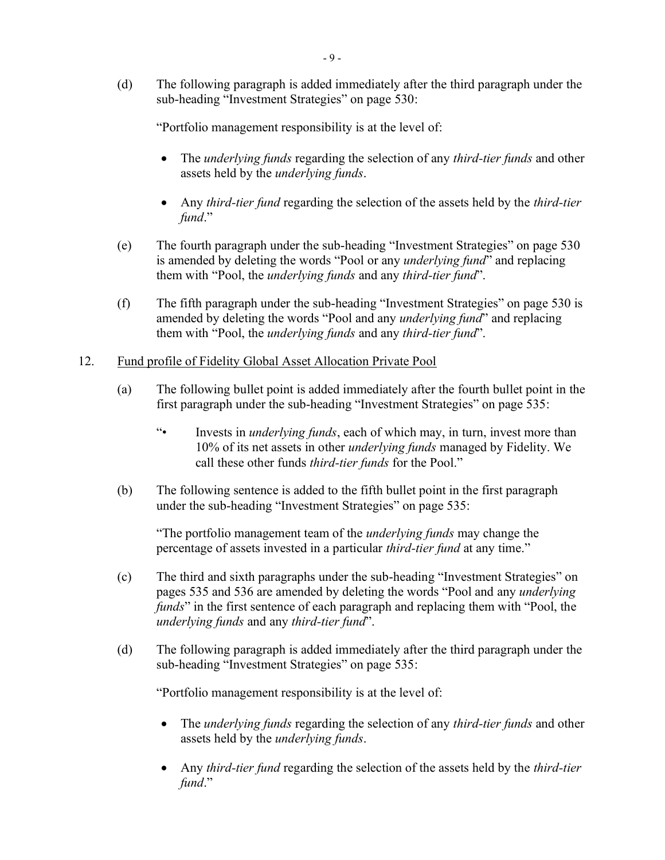(d) The following paragraph is added immediately after the third paragraph under the sub-heading "Investment Strategies" on page 530:

"Portfolio management responsibility is at the level of:

- The *underlying funds* regarding the selection of any *third-tier funds* and other assets held by the *underlying funds*.
- Any *third-tier fund* regarding the selection of the assets held by the *third-tier fund*."
- (e) The fourth paragraph under the sub-heading "Investment Strategies" on page 530 is amended by deleting the words "Pool or any *underlying fund*" and replacing them with "Pool, the *underlying funds* and any *third-tier fund*".
- (f) The fifth paragraph under the sub-heading "Investment Strategies" on page 530 is amended by deleting the words "Pool and any *underlying fund*" and replacing them with "Pool, the *underlying funds* and any *third-tier fund*".
- 12. Fund profile of Fidelity Global Asset Allocation Private Pool
	- (a) The following bullet point is added immediately after the fourth bullet point in the first paragraph under the sub-heading "Investment Strategies" on page 535:
		- "• Invests in *underlying funds*, each of which may, in turn, invest more than 10% of its net assets in other *underlying funds* managed by Fidelity. We call these other funds *third-tier funds* for the Pool."
	- (b) The following sentence is added to the fifth bullet point in the first paragraph under the sub-heading "Investment Strategies" on page 535:

"The portfolio management team of the *underlying funds* may change the percentage of assets invested in a particular *third-tier fund* at any time."

- (c) The third and sixth paragraphs under the sub-heading "Investment Strategies" on pages 535 and 536 are amended by deleting the words "Pool and any *underlying funds*" in the first sentence of each paragraph and replacing them with "Pool, the *underlying funds* and any *third-tier fund*".
- (d) The following paragraph is added immediately after the third paragraph under the sub-heading "Investment Strategies" on page 535:

- The *underlying funds* regarding the selection of any *third-tier funds* and other assets held by the *underlying funds*.
- Any *third-tier fund* regarding the selection of the assets held by the *third-tier fund*."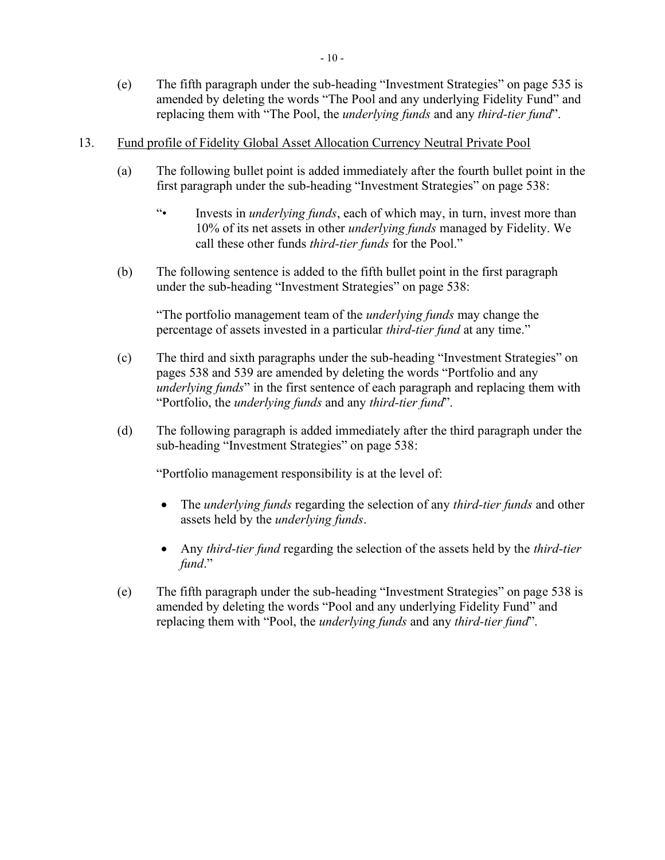- 13. Fund profile of Fidelity Global Asset Allocation Currency Neutral Private Pool
	- (a) The following bullet point is added immediately after the fourth bullet point in the first paragraph under the sub-heading "Investment Strategies" on page 538:
		- "• Invests in *underlying funds*, each of which may, in turn, invest more than 10% of its net assets in other *underlying funds* managed by Fidelity. We call these other funds *third-tier funds* for the Pool."
	- (b) The following sentence is added to the fifth bullet point in the first paragraph under the sub-heading "Investment Strategies" on page 538:

- (c) The third and sixth paragraphs under the sub-heading "Investment Strategies" on pages 538 and 539 are amended by deleting the words "Portfolio and any *underlying funds*" in the first sentence of each paragraph and replacing them with "Portfolio, the *underlying funds* and any *third-tier fund*".
- (d) The following paragraph is added immediately after the third paragraph under the sub-heading "Investment Strategies" on page 538:

- The *underlying funds* regarding the selection of any *third-tier funds* and other assets held by the *underlying funds*.
- Any *third-tier fund* regarding the selection of the assets held by the *third-tier fund*."
- (e) The fifth paragraph under the sub-heading "Investment Strategies" on page 538 is amended by deleting the words "Pool and any underlying Fidelity Fund" and replacing them with "Pool, the *underlying funds* and any *third-tier fund*".